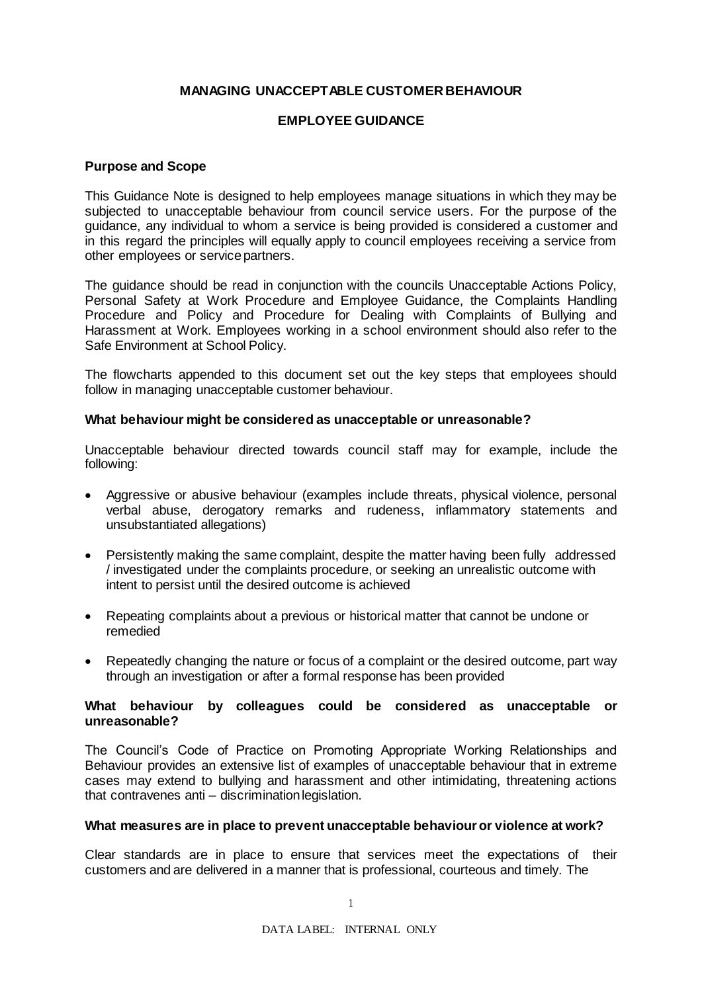# **MANAGING UNACCEPTABLE CUSTOMER BEHAVIOUR**

# **EMPLOYEE GUIDANCE**

## **Purpose and Scope**

This Guidance Note is designed to help employees manage situations in which they may be subjected to unacceptable behaviour from council service users. For the purpose of the guidance, any individual to whom a service is being provided is considered a customer and in this regard the principles will equally apply to council employees receiving a service from other employees or service partners.

The guidance should be read in conjunction with the councils Unacceptable Actions Policy, Personal Safety at Work Procedure and Employee Guidance, the Complaints Handling Procedure and Policy and Procedure for Dealing with Complaints of Bullying and Harassment at Work. Employees working in a school environment should also refer to the Safe Environment at School Policy.

The flowcharts appended to this document set out the key steps that employees should follow in managing unacceptable customer behaviour.

#### **What behaviour might be considered as unacceptable or unreasonable?**

Unacceptable behaviour directed towards council staff may for example, include the following:

- Aggressive or abusive behaviour (examples include threats, physical violence, personal verbal abuse, derogatory remarks and rudeness, inflammatory statements and unsubstantiated allegations)
- Persistently making the same complaint, despite the matter having been fully addressed / investigated under the complaints procedure, or seeking an unrealistic outcome with intent to persist until the desired outcome is achieved
- Repeating complaints about a previous or historical matter that cannot be undone or remedied
- Repeatedly changing the nature or focus of a complaint or the desired outcome, part way through an investigation or after a formal response has been provided

# **What behaviour by colleagues could be considered as unacceptable or unreasonable?**

The Council's Code of Practice on Promoting Appropriate Working Relationships and Behaviour provides an extensive list of examples of unacceptable behaviour that in extreme cases may extend to bullying and harassment and other intimidating, threatening actions that contravenes anti – discriminationlegislation.

#### **What measures are in place to prevent unacceptable behaviour or violence at work?**

Clear standards are in place to ensure that services meet the expectations of their customers and are delivered in a manner that is professional, courteous and timely. The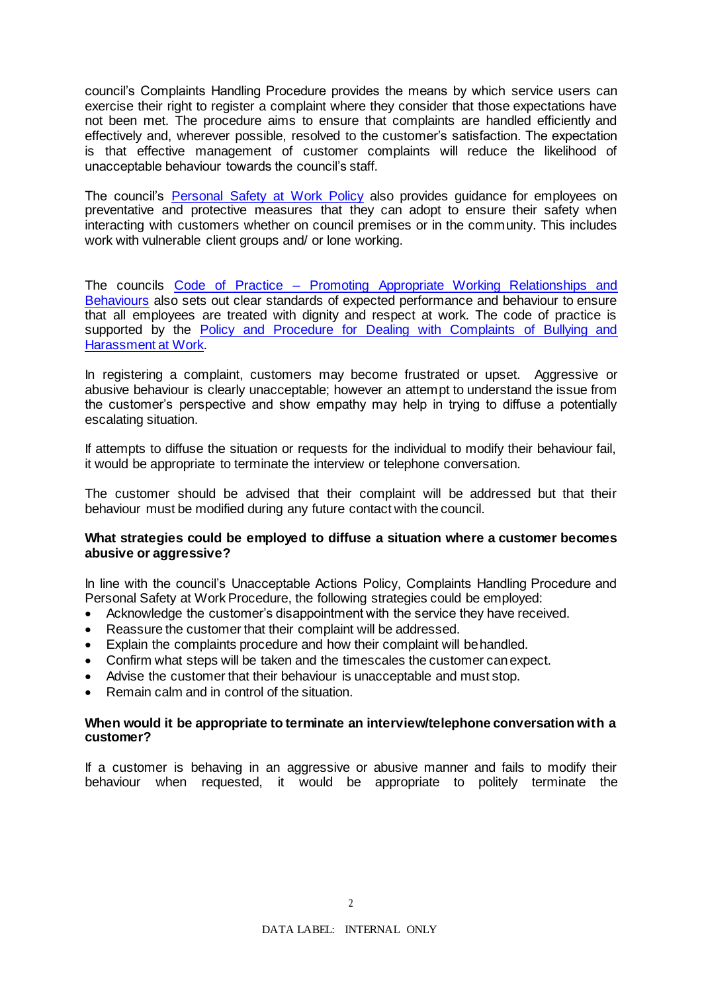council's Complaints Handling Procedure provides the means by which service users can exercise their right to register a complaint where they consider that those expectations have not been met. The procedure aims to ensure that complaints are handled efficiently and effectively and, wherever possible, resolved to the customer's satisfaction. The expectation is that effective management of customer complaints will reduce the likelihood of unacceptable behaviour towards the council's staff.

The council's [Personal Safety at Work Policy](https://intranet.westlothian.gov.uk/article/29248/Personal-Safety-at-Work-Procedures) also provides guidance for employees on preventative and protective measures that they can adopt to ensure their safety when interacting with customers whether on council premises or in the community. This includes work with vulnerable client groups and/ or lone working.

The councils Code of Practice – [Promoting Appropriate Working Relationships and](https://www.westlothian.gov.uk/media/1551/Promoting-Appropriate-Working-Relationship-and-Behaviour/pdf/BullyingAndHarassmentCodeOfPractice-3August2016.pdf?m=637140152269670000) [Behaviours](https://www.westlothian.gov.uk/media/1551/Promoting-Appropriate-Working-Relationship-and-Behaviour/pdf/BullyingAndHarassmentCodeOfPractice-3August2016.pdf?m=637140152269670000) also sets out clear standards of expected performance and behaviour to ensure that all employees are treated with dignity and respect at work. The code of practice is supported by the Policy and Procedure for Dealing with Complaints of Bullying and [Harassment at Work.](https://www.westlothian.gov.uk/article/33212/Bullying-and-Harassment)

In registering a complaint, customers may become frustrated or upset. Aggressive or abusive behaviour is clearly unacceptable; however an attempt to understand the issue from the customer's perspective and show empathy may help in trying to diffuse a potentially escalating situation.

If attempts to diffuse the situation or requests for the individual to modify their behaviour fail, it would be appropriate to terminate the interview or telephone conversation.

The customer should be advised that their complaint will be addressed but that their behaviour must be modified during any future contact with the council.

# **What strategies could be employed to diffuse a situation where a customer becomes abusive or aggressive?**

In line with the council's Unacceptable Actions Policy, Complaints Handling Procedure and Personal Safety at Work Procedure, the following strategies could be employed:

- Acknowledge the customer's disappointment with the service they have received.
- Reassure the customer that their complaint will be addressed.
- Explain the complaints procedure and how their complaint will behandled.
- Confirm what steps will be taken and the timescales the customer canexpect.
- Advise the customer that their behaviour is unacceptable and must stop.
- Remain calm and in control of the situation.

## **When would it be appropriate to terminate an interview/telephone conversation with a customer?**

If a customer is behaving in an aggressive or abusive manner and fails to modify their behaviour when requested, it would be appropriate to politely terminate the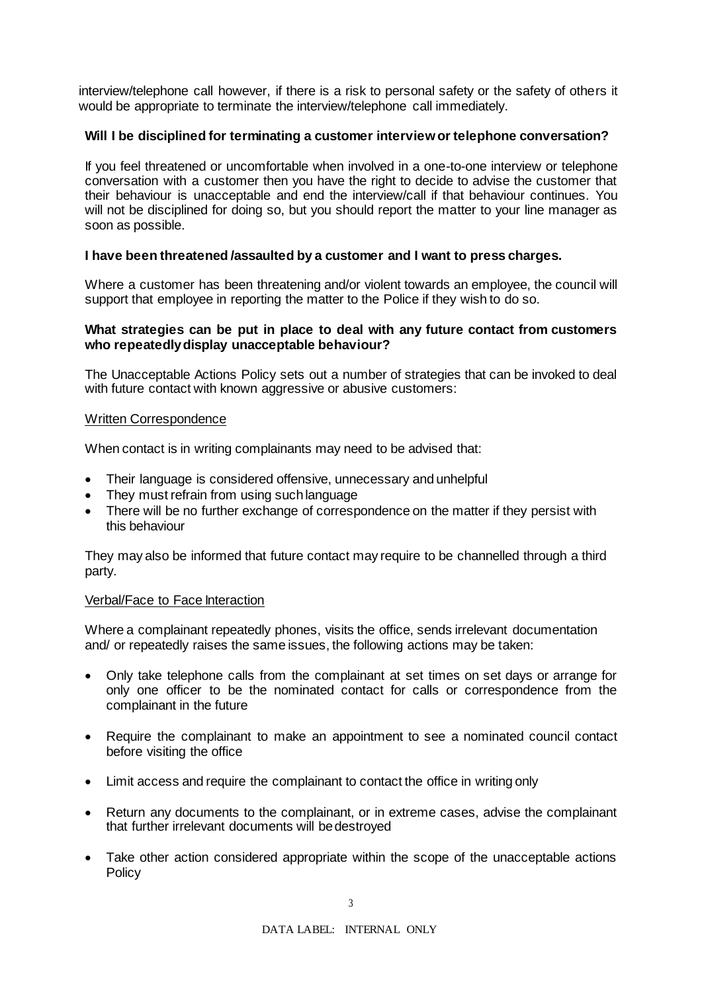interview/telephone call however, if there is a risk to personal safety or the safety of others it would be appropriate to terminate the interview/telephone call immediately.

# **Will I be disciplined for terminating a customer interview or telephone conversation?**

If you feel threatened or uncomfortable when involved in a one-to-one interview or telephone conversation with a customer then you have the right to decide to advise the customer that their behaviour is unacceptable and end the interview/call if that behaviour continues. You will not be disciplined for doing so, but you should report the matter to your line manager as soon as possible.

# **I have been threatened /assaulted by a customer and I want to press charges.**

Where a customer has been threatening and/or violent towards an employee, the council will support that employee in reporting the matter to the Police if they wish to do so.

# **What strategies can be put in place to deal with any future contact from customers who repeatedly display unacceptable behaviour?**

The Unacceptable Actions Policy sets out a number of strategies that can be invoked to deal with future contact with known aggressive or abusive customers:

# Written Correspondence

When contact is in writing complainants may need to be advised that:

- Their language is considered offensive, unnecessary and unhelpful
- They must refrain from using such language
- There will be no further exchange of correspondence on the matter if they persist with this behaviour

They may also be informed that future contact may require to be channelled through a third party.

## Verbal/Face to Face Interaction

Where a complainant repeatedly phones, visits the office, sends irrelevant documentation and/ or repeatedly raises the same issues, the following actions may be taken:

- Only take telephone calls from the complainant at set times on set days or arrange for only one officer to be the nominated contact for calls or correspondence from the complainant in the future
- Require the complainant to make an appointment to see a nominated council contact before visiting the office
- Limit access and require the complainant to contact the office in writing only
- Return any documents to the complainant, or in extreme cases, advise the complainant that further irrelevant documents will bedestroyed
- Take other action considered appropriate within the scope of the unacceptable actions **Policy**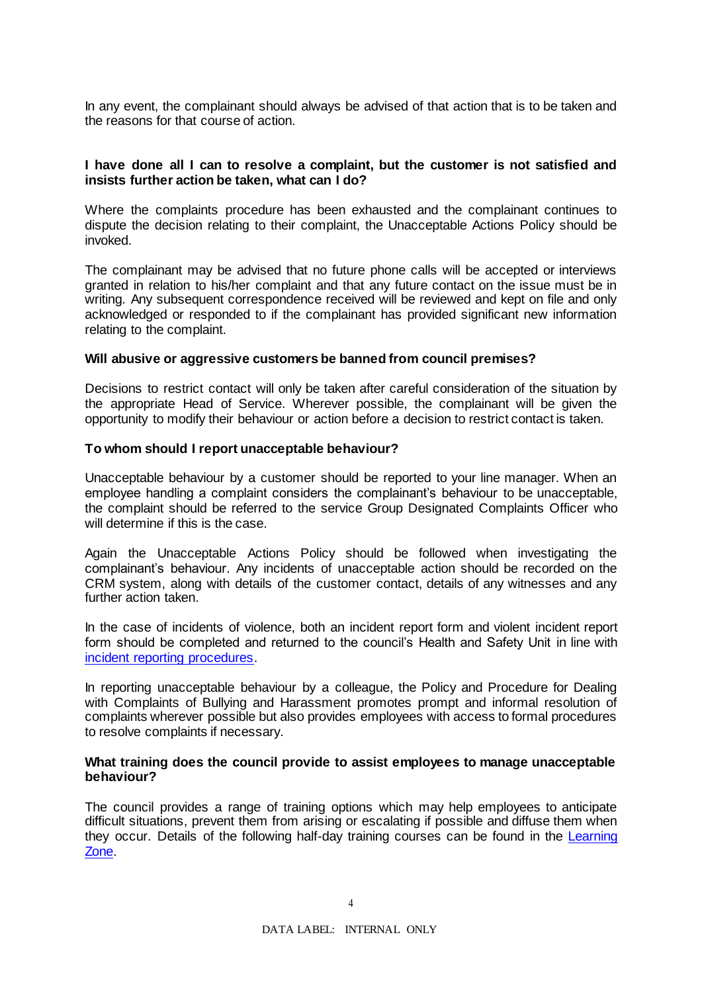In any event, the complainant should always be advised of that action that is to be taken and the reasons for that course of action.

## **I have done all I can to resolve a complaint, but the customer is not satisfied and insists further action be taken, what can I do?**

Where the complaints procedure has been exhausted and the complainant continues to dispute the decision relating to their complaint, the Unacceptable Actions Policy should be invoked.

The complainant may be advised that no future phone calls will be accepted or interviews granted in relation to his/her complaint and that any future contact on the issue must be in writing. Any subsequent correspondence received will be reviewed and kept on file and only acknowledged or responded to if the complainant has provided significant new information relating to the complaint.

## **Will abusive or aggressive customers be banned from council premises?**

Decisions to restrict contact will only be taken after careful consideration of the situation by the appropriate Head of Service. Wherever possible, the complainant will be given the opportunity to modify their behaviour or action before a decision to restrict contact is taken.

#### **To whom should I report unacceptable behaviour?**

Unacceptable behaviour by a customer should be reported to your line manager. When an employee handling a complaint considers the complainant's behaviour to be unacceptable, the complaint should be referred to the service Group Designated Complaints Officer who will determine if this is the case.

Again the Unacceptable Actions Policy should be followed when investigating the complainant's behaviour. Any incidents of unacceptable action should be recorded on the CRM system, along with details of the customer contact, details of any witnesses and any further action taken.

In the case of incidents of violence, both an incident report form and violent incident report form should be completed and returned to the council's Health and Safety Unit in line with [incident reporting procedures.](https://intranet.westlothian.gov.uk/article/29169/Incident-Reporting--Investigation)

In reporting unacceptable behaviour by a colleague, the Policy and Procedure for Dealing with Complaints of Bullying and Harassment promotes prompt and informal resolution of complaints wherever possible but also provides employees with access to formal procedures to resolve complaints if necessary.

#### **What training does the council provide to assist employees to manage unacceptable behaviour?**

The council provides a range of training options which may help employees to anticipate difficult situations, prevent them from arising or escalating if possible and diffuse them when they occur. Details of the following half-day training courses can be found in the [Learning](https://www.westlothian.gov.uk/article/33193/Learning-and-Development)  [Zone.](https://www.westlothian.gov.uk/article/33193/Learning-and-Development)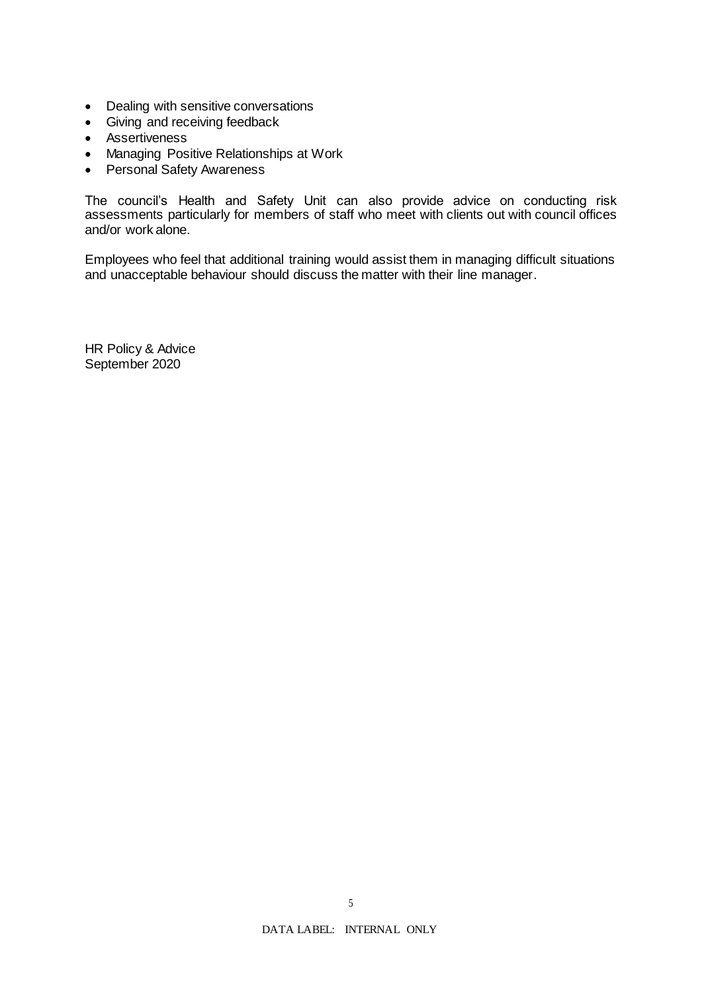- Dealing with sensitive conversations
- Giving and receiving feedback
- Assertiveness
- Managing Positive Relationships at Work
- Personal Safety Awareness

The council's Health and Safety Unit can also provide advice on conducting risk assessments particularly for members of staff who meet with clients out with council offices and/or work alone.

Employees who feel that additional training would assist them in managing difficult situations and unacceptable behaviour should discuss the matter with their line manager.

HR Policy & Advice September 2020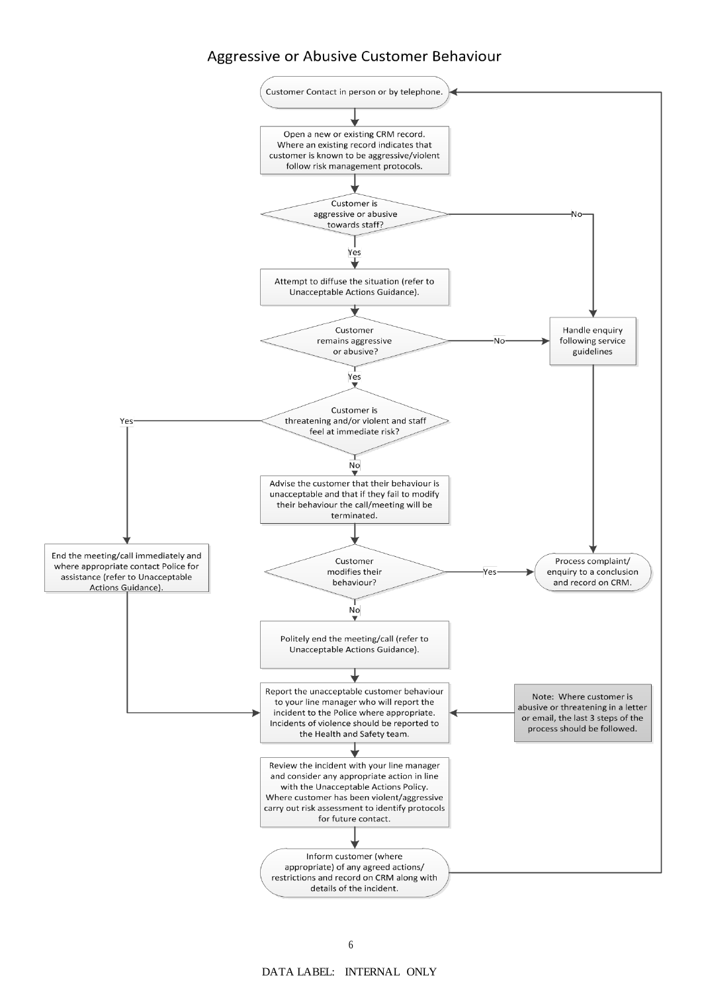# Aggressive or Abusive Customer Behaviour

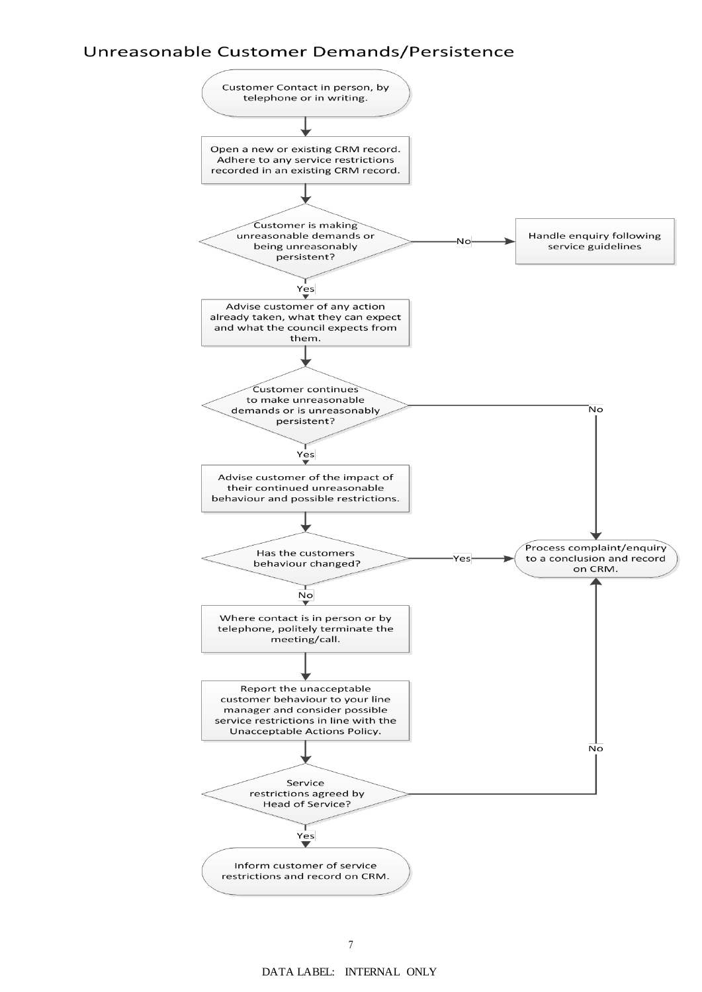# Unreasonable Customer Demands/Persistence